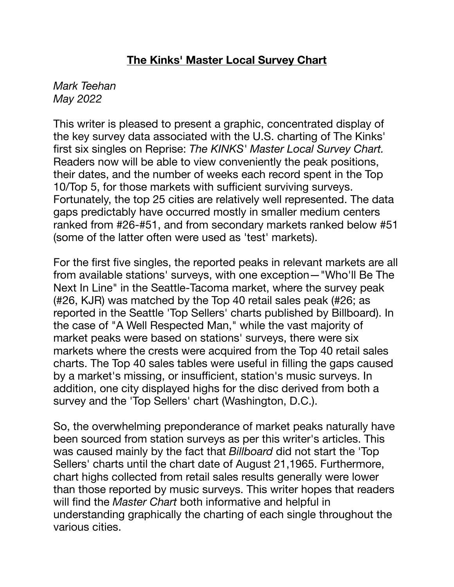# **The Kinks' Master Local Survey Chart**

#### *Mark Teehan May 2022*

This writer is pleased to present a graphic, concentrated display of the key survey data associated with the U.S. charting of The Kinks' first six singles on Reprise: *The KINKS' Master Local Survey Chart.*  Readers now will be able to view conveniently the peak positions, their dates, and the number of weeks each record spent in the Top 10/Top 5, for those markets with sufficient surviving surveys. Fortunately, the top 25 cities are relatively well represented. The data gaps predictably have occurred mostly in smaller medium centers ranked from #26-#51, and from secondary markets ranked below #51 (some of the latter often were used as 'test' markets).

For the first five singles, the reported peaks in relevant markets are all from available stations' surveys, with one exception—"Who'll Be The Next In Line" in the Seattle-Tacoma market, where the survey peak (#26, KJR) was matched by the Top 40 retail sales peak (#26; as reported in the Seattle 'Top Sellers' charts published by Billboard). In the case of "A Well Respected Man," while the vast majority of market peaks were based on stations' surveys, there were six markets where the crests were acquired from the Top 40 retail sales charts. The Top 40 sales tables were useful in filling the gaps caused by a market's missing, or insufficient, station's music surveys. In addition, one city displayed highs for the disc derived from both a survey and the 'Top Sellers' chart (Washington, D.C.).

So, the overwhelming preponderance of market peaks naturally have been sourced from station surveys as per this writer's articles. This was caused mainly by the fact that *Billboard* did not start the 'Top Sellers' charts until the chart date of August 21,1965. Furthermore, chart highs collected from retail sales results generally were lower than those reported by music surveys. This writer hopes that readers will find the *Master Chart* both informative and helpful in understanding graphically the charting of each single throughout the various cities.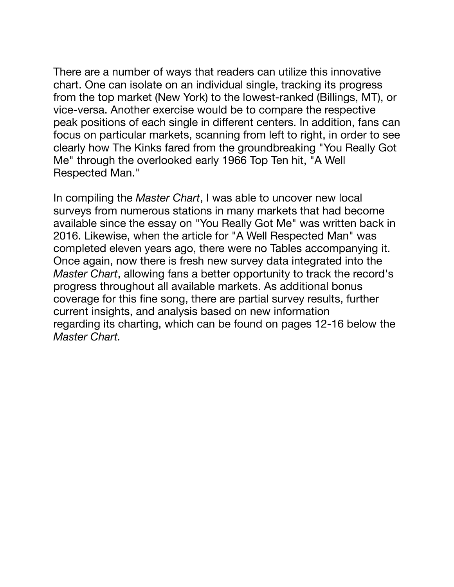There are a number of ways that readers can utilize this innovative chart. One can isolate on an individual single, tracking its progress from the top market (New York) to the lowest-ranked (Billings, MT), or vice-versa. Another exercise would be to compare the respective peak positions of each single in different centers. In addition, fans can focus on particular markets, scanning from left to right, in order to see clearly how The Kinks fared from the groundbreaking "You Really Got Me" through the overlooked early 1966 Top Ten hit, "A Well Respected Man."

In compiling the *Master Chart*, I was able to uncover new local surveys from numerous stations in many markets that had become available since the essay on "You Really Got Me" was written back in 2016. Likewise, when the article for "A Well Respected Man" was completed eleven years ago, there were no Tables accompanying it. Once again, now there is fresh new survey data integrated into the *Master Chart*, allowing fans a better opportunity to track the record's progress throughout all available markets. As additional bonus coverage for this fine song, there are partial survey results, further current insights, and analysis based on new information regarding its charting, which can be found on pages 12-16 below the *Master Chart.*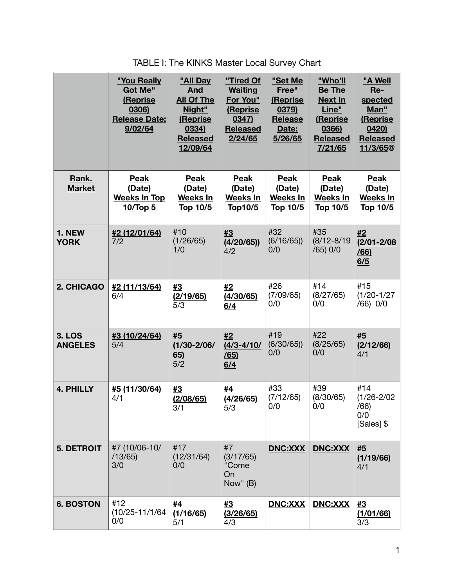|                                 | "You Really<br><b>Got Me"</b><br>(Reprise<br>0306)<br><b>Release Date:</b><br>9/02/64 | "All Day<br><b>And</b><br><b>All Of The</b><br>Night"<br>(Reprise<br>0334)<br><b>Released</b><br>12/09/64 | "Tired Of<br><b>Waiting</b><br>For You"<br>(Reprise<br>0347)<br><b>Released</b><br>2/24/65 | "Set Me<br>Free"<br>(Reprise<br>0379)<br>Release<br>Date:<br>5/26/65 | "Who'll<br><b>Be The</b><br><b>Next In</b><br>Line"<br>(Reprise<br>0366)<br><b>Released</b><br>7/21/65 | "A Well<br>$Re-$<br>spected<br>Man"<br>(Reprise<br>0420<br><b>Released</b><br>11/3/65@ |
|---------------------------------|---------------------------------------------------------------------------------------|-----------------------------------------------------------------------------------------------------------|--------------------------------------------------------------------------------------------|----------------------------------------------------------------------|--------------------------------------------------------------------------------------------------------|----------------------------------------------------------------------------------------|
| Rank.<br><b>Market</b>          | <b>Peak</b><br>(Date)<br><b>Weeks In Top</b><br>10/Top 5                              | <b>Peak</b><br>(Date)<br><b>Weeks In</b><br><u>Top 10/5</u>                                               | <b>Peak</b><br>(Date)<br><b>Weeks In</b><br><u>Top10/5</u>                                 | Peak<br>(Date)<br>Weeks In<br><u>Top 10/5</u>                        | <b>Peak</b><br>(Date)<br><b>Weeks In</b><br>Top 10/5                                                   | <b>Peak</b><br>(Date)<br><b>Weeks In</b><br><u>Top 10/5</u>                            |
| 1. NEW<br><b>YORK</b>           | #2 (12/01/64)<br>7/2                                                                  | #10<br>(1/26/65)<br>1/0                                                                                   | #3<br>(4/20/65)<br>4/2                                                                     | #32<br>(6/16/65)<br>0/0                                              | #35<br>$(8/12 - 8/19)$<br>$/65)$ 0/0                                                                   | #2<br>$(2/01 - 2/08)$<br>/66)<br>6/5                                                   |
| 2. CHICAGO                      | #2 (11/13/64)<br>6/4                                                                  | #3<br>(2/19/65)<br>5/3                                                                                    | #2<br>(4/30/65)<br>6/4                                                                     | #26<br>(7/09/65)<br>0/0                                              | #14<br>(8/27/65)<br>0/0                                                                                | #15<br>$(1/20-1/27)$<br>/66) 0/0                                                       |
| <b>3. LOS</b><br><b>ANGELES</b> | #3 (10/24/64)<br>5/4                                                                  | #5<br>$(1/30 - 2/06)$<br>65)<br>5/2                                                                       | #2<br>$(4/3 - 4/10)$<br>/65)<br>6/4                                                        | #19<br>(6/30/65)<br>0/0                                              | #22<br>(8/25/65)<br>0/0                                                                                | #5<br>(2/12/66)<br>4/1                                                                 |
| <b>4. PHILLY</b>                | #5 (11/30/64)<br>4/1                                                                  | #3<br>(2/08/65)<br>3/1                                                                                    | #4<br>(4/26/65)<br>5/3                                                                     | #33<br>(7/12/65)<br>0/0                                              | #39<br>(8/30/65)<br>0/0                                                                                | #14<br>$(1/26 - 2/02)$<br>/66)<br>0/0<br>[Sales] \$                                    |
| <b>5. DETROIT</b>               | #7 (10/06-10/<br>/13/65)<br>3/0                                                       | #17<br>(12/31/64)<br>0/0                                                                                  | #7<br>(3/17/65)<br>"Come<br>On<br>Now" (B)                                                 | <b>DNC:XXX</b>                                                       | <b>DNC:XXX</b>                                                                                         | #5<br>(1/19/66)<br>4/1                                                                 |
| <b>6. BOSTON</b>                | #12<br>$(10/25 - 11/1/64)$<br>0/0                                                     | #4<br>(1/16/65)<br>5/1                                                                                    | #3<br>(3/26/65)<br>4/3                                                                     | DNC:XXX                                                              | DNC:XXX                                                                                                | #3<br>(1/01/66)<br>3/3                                                                 |

TABLE I: The KINKS Master Local Survey Chart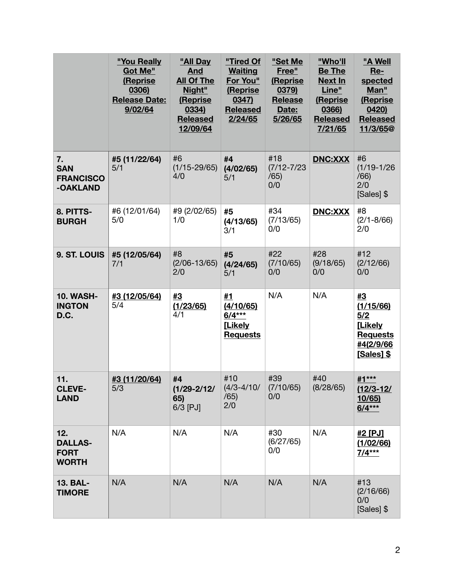|                                                      | "You Really<br>Got Me"<br>(Reprise<br>0306)<br><b>Release Date:</b><br>9/02/64 | "All Day<br><b>And</b><br><b>All Of The</b><br>Night"<br>(Reprise<br>0334)<br><b>Released</b><br>12/09/64 | "Tired Of<br><b>Waiting</b><br>For You"<br>(Reprise<br>0347)<br><b>Released</b><br>2/24/65 | "Set Me<br>Free"<br>(Reprise<br>0379)<br><b>Release</b><br>Date:<br>5/26/65 | "Who'll<br><b>Be The</b><br><b>Next In</b><br>Line"<br>(Reprise<br>0366)<br><b>Released</b><br>7/21/65 | "A Well<br>Re-<br>spected<br>Man"<br>(Reprise<br>0420<br><b>Released</b><br>11/3/65@   |
|------------------------------------------------------|--------------------------------------------------------------------------------|-----------------------------------------------------------------------------------------------------------|--------------------------------------------------------------------------------------------|-----------------------------------------------------------------------------|--------------------------------------------------------------------------------------------------------|----------------------------------------------------------------------------------------|
| 7.<br><b>SAN</b><br><b>FRANCISCO</b><br>-OAKLAND     | #5 (11/22/64)<br>5/1                                                           | #6<br>$(1/15 - 29/65)$<br>4/0                                                                             | #4<br>(4/02/65)<br>5/1                                                                     | #18<br>$(7/12 - 7/23)$<br>/65)<br>0/0                                       | <b>DNC:XXX</b>                                                                                         | #6<br>$(1/19-1/26)$<br>/66)<br>2/0<br>[Sales] \$                                       |
| 8. PITTS-<br><b>BURGH</b>                            | #6 (12/01/64)<br>5/0                                                           | #9 (2/02/65)<br>1/0                                                                                       | #5<br>(4/13/65)<br>3/1                                                                     | #34<br>(7/13/65)<br>0/0                                                     | <b>DNC:XXX</b>                                                                                         | #8<br>$(2/1 - 8/66)$<br>2/0                                                            |
| 9. ST. LOUIS                                         | #5 (12/05/64)<br>7/1                                                           | #8<br>$(2/06 - 13/65)$<br>2/0                                                                             | #5<br>(4/24/65)<br>5/1                                                                     | #22<br>(7/10/65)<br>0/0                                                     | #28<br>(9/18/65)<br>0/0                                                                                | #12<br>(2/12/66)<br>0/0                                                                |
| <b>10. WASH-</b><br><b>INGTON</b><br>D.C.            | #3 (12/05/64)<br>5/4                                                           | #3<br>(1/23/65)<br>4/1                                                                                    | #1<br>(4/10/65)<br>$6/4***$<br>[Likely<br><b>Requests</b>                                  | N/A                                                                         | N/A                                                                                                    | #3<br>(1/15/66)<br>5/2<br><b>[Likely</b><br><b>Requests</b><br>#4(2/9/66<br>[Sales] \$ |
| 11.<br><b>CLEVE-</b><br><b>LAND</b>                  | #3 (11/20/64)<br>5/3                                                           | #4<br>$(1/29 - 2/12)$<br>65)<br>$6/3$ [PJ]                                                                | #10<br>$(4/3 - 4/10)$<br>/65)<br>2/0                                                       | #39<br>(7/10/65)<br>0/0                                                     | #40<br>(8/28/65)                                                                                       | #1***<br>$(12/3 - 12)$<br>10/65<br>$6/4***$                                            |
| 12.<br><b>DALLAS-</b><br><b>FORT</b><br><b>WORTH</b> | N/A                                                                            | N/A                                                                                                       | N/A                                                                                        | #30<br>(6/27/65)<br>0/0                                                     | N/A                                                                                                    | #2 [PJ]<br>(1/02/66)<br>$7/4***$                                                       |
| <b>13. BAL-</b><br><b>TIMORE</b>                     | N/A                                                                            | N/A                                                                                                       | N/A                                                                                        | N/A                                                                         | N/A                                                                                                    | #13<br>(2/16/66)<br>0/0<br>[Sales] \$                                                  |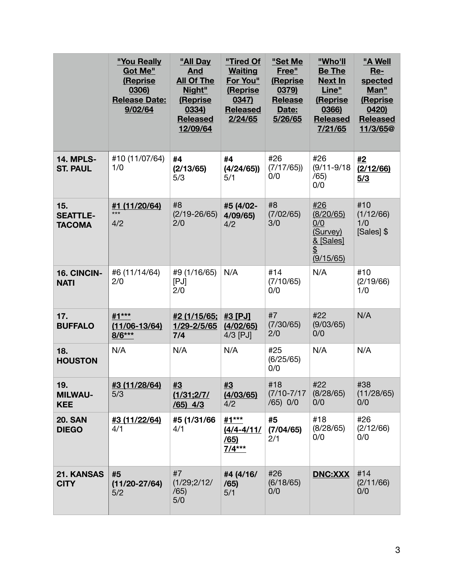|                                         | "You Really<br>Got Me"<br>(Reprise<br>0306)<br><b>Release Date:</b><br>9/02/64 | "All Day<br><b>And</b><br><b>All Of The</b><br>Night"<br>(Reprise<br>0334)<br><b>Released</b><br>12/09/64 | "Tired Of<br><b>Waiting</b><br>For You"<br>(Reprise<br>0347)<br><b>Released</b><br>2/24/65 | "Set Me<br>Free"<br>(Reprise<br>0379)<br><b>Release</b><br>Date:<br>5/26/65 | "Who'll<br><b>Be The</b><br><b>Next In</b><br>Line"<br>(Reprise<br>0366)<br><b>Released</b><br>7/21/65 | "A Well<br>$Re-$<br>spected<br>Man"<br>(Reprise<br>0420)<br><b>Released</b><br>11/3/65 <sup>@</sup> |
|-----------------------------------------|--------------------------------------------------------------------------------|-----------------------------------------------------------------------------------------------------------|--------------------------------------------------------------------------------------------|-----------------------------------------------------------------------------|--------------------------------------------------------------------------------------------------------|-----------------------------------------------------------------------------------------------------|
| <b>14. MPLS-</b><br><b>ST. PAUL</b>     | #10 (11/07/64)<br>1/0                                                          | #4<br>(2/13/65)<br>5/3                                                                                    | #4<br>(4/24/65)<br>5/1                                                                     | #26<br>(7/17/65)<br>0/0                                                     | #26<br>$(9/11 - 9/18)$<br>/65)<br>0/0                                                                  | #2<br>(2/12/66)<br>5/3                                                                              |
| 15.<br><b>SEATTLE-</b><br><b>TACOMA</b> | #1 (11/20/64)<br>$***$<br>4/2                                                  | #8<br>$(2/19 - 26/65)$<br>2/0                                                                             | #5 (4/02-<br>4/09/65<br>4/2                                                                | #8<br>(7/02/65)<br>3/0                                                      | #26<br>(8/20/65)<br>0/0<br>(Survey)<br>& [Sales]<br>$\overline{\mathfrak{D}}$<br>(9/15/65)             | #10<br>(1/12/66)<br>1/0<br>[Sales] \$                                                               |
| 16. CINCIN-<br><b>NATI</b>              | #6 (11/14/64)<br>2/0                                                           | #9 (1/16/65)<br>[PJ]<br>2/0                                                                               | N/A                                                                                        | #14<br>(7/10/65)<br>0/0                                                     | N/A                                                                                                    | #10<br>(2/19/66)<br>1/0                                                                             |
| 17.<br><b>BUFFALO</b>                   | #1***<br>$(11/06 - 13/64)$<br>$8/6***$                                         | #2 (1/15/65;<br>1/29-2/5/65<br>7/4                                                                        | #3 [PJ]<br>(4/02/65)<br>$4/3$ [PJ]                                                         | #7<br>(7/30/65)<br>2/0                                                      | #22<br>(9/03/65)<br>0/0                                                                                | N/A                                                                                                 |
| 18.<br><b>HOUSTON</b>                   | N/A                                                                            | N/A                                                                                                       | N/A                                                                                        | #25<br>(6/25/65)<br>0/0                                                     | N/A                                                                                                    | N/A                                                                                                 |
| 19.<br><b>MILWAU-</b><br><b>KEE</b>     | #3 (11/28/64)<br>5/3                                                           | #3<br>(1/31;2/7/<br>$(65)$ 4/3                                                                            | #3<br>(4/03/65)<br>4/2                                                                     | #18<br>$(7/10 - 7/17)$<br>(65) 0/0                                          | #22<br>(8/28/65)<br>0/0                                                                                | #38<br>(11/28/65)<br>0/0                                                                            |
| <b>20. SAN</b><br><b>DIEGO</b>          | <u>#3 (11/22/64)</u><br>4/1                                                    | #5 (1/31/66<br>4/1                                                                                        | #1***<br>$(4/4 - 4/11)$<br>/65)<br>$7/4***$                                                | #5<br>(7/04/65)<br>2/1                                                      | #18<br>(8/28/65)<br>0/0                                                                                | #26<br>(2/12/66)<br>0/0                                                                             |
| 21. KANSAS<br><b>CITY</b>               | #5<br>$(11/20 - 27/64)$<br>5/2                                                 | #7<br>(1/29;2/12/<br>/65)<br>5/0                                                                          | #4 (4/16/<br>/65)<br>5/1                                                                   | #26<br>(6/18/65)<br>0/0                                                     | <b>DNC:XXX</b>                                                                                         | #14<br>(2/11/66)<br>0/0                                                                             |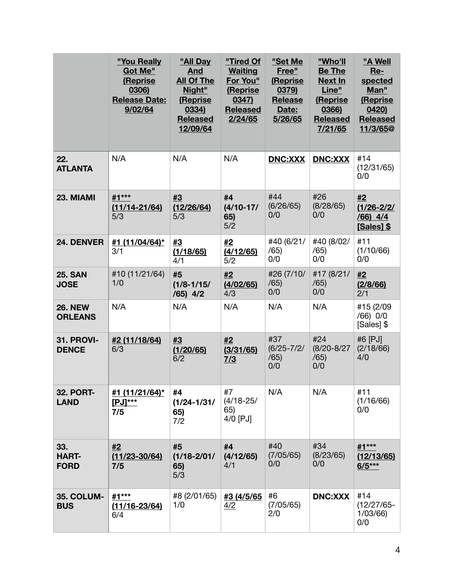|                                    | "You Really<br>Got Me"<br>(Reprise<br>0306)<br><b>Release Date:</b><br>9/02/64 | "All Day<br>And<br><b>All Of The</b><br>Night"<br>(Reprise<br>0334)<br><b>Released</b><br>12/09/64 | "Tired Of<br><b>Waiting</b><br>For You"<br>(Reprise<br>0347)<br><b>Released</b><br>2/24/65 | "Set Me<br>Free"<br><b>(Reprise)</b><br>0379)<br><b>Release</b><br>Date:<br>5/26/65 | "Who'll<br><b>Be The</b><br><b>Next In</b><br>Line"<br>(Reprise<br>0366)<br><b>Released</b><br>7/21/65 | "A Well<br>$Re-$<br>spected<br>Man"<br>(Reprise<br>0420<br><b>Released</b><br>11/3/65 <sup>@</sup> |
|------------------------------------|--------------------------------------------------------------------------------|----------------------------------------------------------------------------------------------------|--------------------------------------------------------------------------------------------|-------------------------------------------------------------------------------------|--------------------------------------------------------------------------------------------------------|----------------------------------------------------------------------------------------------------|
| 22.<br><b>ATLANTA</b>              | N/A                                                                            | N/A                                                                                                | N/A                                                                                        | <b>DNC:XXX</b>                                                                      | <b>DNC:XXX</b>                                                                                         | #14<br>(12/31/65)<br>0/0                                                                           |
| 23. MIAMI                          | #1***<br>$(11/14 - 21/64)$<br>5/3                                              | #3<br>(12/26/64)<br>5/3                                                                            | #4<br>$(4/10-17/$<br>65)<br>5/2                                                            | #44<br>(6/26/65)<br>0/0                                                             | #26<br>(8/28/65)<br>0/0                                                                                | #2<br>$(1/26 - 2/2)$<br>$/66$ ) $4/4$<br><b>[Sales] \$</b>                                         |
| 24. DENVER                         | #1 (11/04/64)*<br>3/1                                                          | #3<br>(1/18/65)<br>4/1                                                                             | #2<br>(4/12/65)<br>5/2                                                                     | #40 (6/21/<br>/65)<br>0/0                                                           | #40 (8/02/<br>/65)<br>0/0                                                                              | #11<br>(1/10/66)<br>0/0                                                                            |
| <b>25. SAN</b><br><b>JOSE</b>      | #10 (11/21/64)<br>1/0                                                          | #5<br>$(1/8 - 1/15)$<br>$(65)$ 4/2                                                                 | #2<br>(4/02/65)<br>4/3                                                                     | #26 (7/10/<br>/65)<br>0/0                                                           | #17 (8/21/<br>/65)<br>0/0                                                                              | #2<br>(2/8/66)<br>2/1                                                                              |
| <b>26. NEW</b><br><b>ORLEANS</b>   | N/A                                                                            | N/A                                                                                                | N/A                                                                                        | N/A                                                                                 | N/A                                                                                                    | #15 (2/09<br>/66) 0/0<br>[Sales] \$                                                                |
| <b>31. PROVI-</b><br><b>DENCE</b>  | #2 (11/18/64)<br>6/3                                                           | #3<br>(1/20/65)<br>6/2                                                                             | #2<br>(3/31/65)<br>$\frac{7}{3}$                                                           | #37<br>$(6/25 - 7/2)$<br>/65)<br>0/0                                                | #24<br>$(8/20 - 8/27)$<br>/65)<br>0/0                                                                  | #6 [PJ]<br>(2/18/66)<br>4/0                                                                        |
| <b>32. PORT-</b><br><b>LAND</b>    | #1 (11/21/64)*<br>$[PJ]$ ***<br>7/5                                            | #4<br>$(1/24 - 1/31)$<br>65)<br>7/2                                                                | #7<br>$(4/18 - 25/$<br>65)<br>4/0 [PJ]                                                     | N/A                                                                                 | N/A                                                                                                    | #11<br>(1/16/66)<br>0/0                                                                            |
| 33.<br><b>HART-</b><br><b>FORD</b> | #2<br>$(11/23 - 30/64)$<br>7/5                                                 | #5<br>$(1/18 - 2/01/$<br>65)<br>5/3                                                                | #4<br>(4/12/65)<br>4/1                                                                     | #40<br>(7/05/65)<br>0/0                                                             | #34<br>(8/23/65)<br>0/0                                                                                | #1***<br><u>(12/13/65)</u><br>$6/5***$                                                             |
| <b>35. COLUM-</b><br><b>BUS</b>    | #1***<br>$(11/16 - 23/64)$<br>6/4                                              | #8 (2/01/65)<br>1/0                                                                                | #3 (4/5/65<br>4/2                                                                          | #6<br>(7/05/65)<br>2/0                                                              | <b>DNC:XXX</b>                                                                                         | #14<br>$(12/27/65 -$<br>1/03/66<br>0/0                                                             |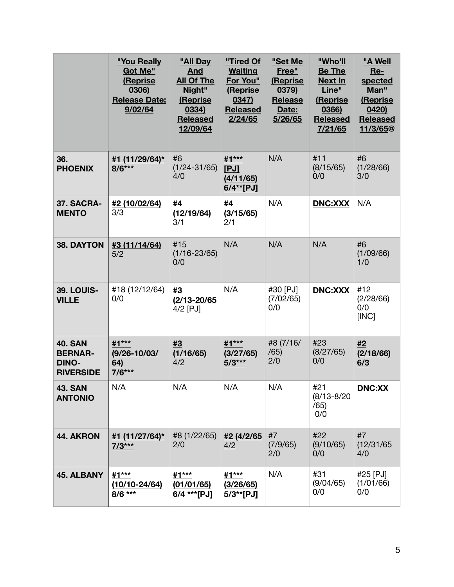|                                                                      | "You Really<br>Got Me"<br>(Reprise<br>0306)<br><b>Release Date:</b><br>9/02/64 | "All Day<br><b>And</b><br><b>All Of The</b><br>Night"<br>(Reprise<br>0334)<br><b>Released</b><br>12/09/64 | "Tired Of<br><b>Waiting</b><br>For You"<br>(Reprise<br>0347)<br><b>Released</b><br>2/24/65 | "Set Me<br>Free"<br>(Reprise<br>0379)<br><b>Release</b><br>Date:<br>5/26/65 | "Who'll<br><b>Be The</b><br><b>Next In</b><br>Line"<br>(Reprise<br>0366)<br><b>Released</b><br>7/21/65 | "A Well<br>Re-<br>spected<br>Man"<br>(Reprise<br>0420<br><b>Released</b><br>11/3/65@ |
|----------------------------------------------------------------------|--------------------------------------------------------------------------------|-----------------------------------------------------------------------------------------------------------|--------------------------------------------------------------------------------------------|-----------------------------------------------------------------------------|--------------------------------------------------------------------------------------------------------|--------------------------------------------------------------------------------------|
| 36.<br><b>PHOENIX</b>                                                | #1 (11/29/64)*<br>$8/6***$                                                     | #6<br>$(1/24 - 31/65)$<br>4/0                                                                             | #1***<br>[PJ]<br>(4/11/65)<br>$6/4**$ [PJ]                                                 | N/A                                                                         | #11<br>(8/15/65)<br>0/0                                                                                | #6<br>(1/28/66)<br>3/0                                                               |
| 37. SACRA-<br><b>MENTO</b>                                           | #2 (10/02/64)<br>3/3                                                           | #4<br>(12/19/64)<br>3/1                                                                                   | #4<br>(3/15/65)<br>2/1                                                                     | N/A                                                                         | <b>DNC:XXX</b>                                                                                         | N/A                                                                                  |
| 38. DAYTON                                                           | #3 (11/14/64)<br>5/2                                                           | #15<br>$(1/16 - 23/65)$<br>0/0                                                                            | N/A                                                                                        | N/A                                                                         | N/A                                                                                                    | #6<br>(1/09/66)<br>1/0                                                               |
| <b>39. LOUIS-</b><br><b>VILLE</b>                                    | #18 (12/12/64)<br>0/0                                                          | #3<br>$(2/13 - 20/65)$<br>4/2 [PJ]                                                                        | N/A                                                                                        | #30 [PJ]<br>(7/02/65)<br>0/0                                                | <b>DNC:XXX</b>                                                                                         | #12<br>(2/28/66)<br>0/0<br>[INC]                                                     |
| <b>40. SAN</b><br><b>BERNAR-</b><br><b>DINO-</b><br><b>RIVERSIDE</b> | #1***<br>$(9/26 - 10/03)$<br>64)<br>$7/6***$                                   | #3<br>(1/16/65)<br>4/2                                                                                    | #1***<br>(3/27/65)<br>$5/3***$                                                             | #8 (7/16/<br>/65)<br>2/0                                                    | #23<br>(8/27/65)<br>0/0                                                                                | #2<br>(2/18/66)<br>6/3                                                               |
| <b>43. SAN</b><br><b>ANTONIO</b>                                     | N/A                                                                            | N/A                                                                                                       | N/A                                                                                        | N/A                                                                         | #21<br>$(8/13 - 8/20)$<br>/65)<br>0/0                                                                  | <b>DNC:XX</b>                                                                        |
| 44. AKRON                                                            | #1 (11/27/64)*<br>$7/3***$                                                     | #8 (1/22/65)<br>2/0                                                                                       | #2 (4/2/65<br>4/2                                                                          | #7<br>(7/9/65)<br>2/0                                                       | #22<br>(9/10/65)<br>0/0                                                                                | #7<br>(12/31/65)<br>4/0                                                              |
| <b>45. ALBANY</b>                                                    | #1***<br>$(10/10 - 24/64)$<br>$8/6$ ***                                        | #1***<br>(01/01/65)<br>6/4 *** [PJ]                                                                       | #1***<br>(3/26/65)<br>$5/3**$ [PJ]                                                         | N/A                                                                         | #31<br>(9/04/65)<br>0/0                                                                                | #25 [PJ]<br>(1/01/66)<br>0/0                                                         |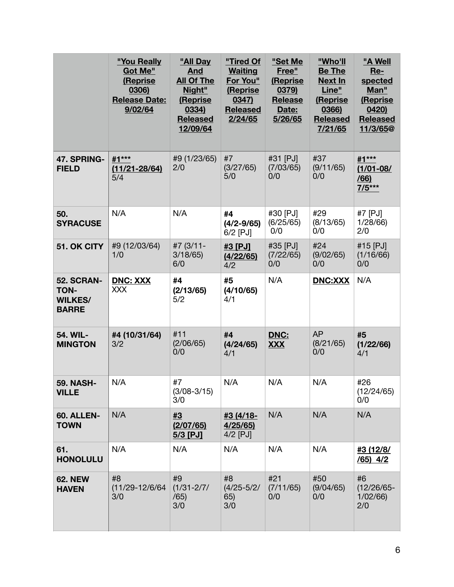|                                                                    | "You Really<br>Got Me"<br>(Reprise<br>0306)<br><b>Release Date:</b><br>9/02/64 | "All Day<br><b>And</b><br><b>All Of The</b><br>Night"<br>(Reprise<br>0334)<br><b>Released</b><br>12/09/64 | "Tired Of<br><b>Waiting</b><br>For You"<br>(Reprise<br>0347)<br><b>Released</b><br>2/24/65 | "Set Me<br>Free"<br>(Reprise<br>0379)<br><b>Release</b><br>Date:<br>5/26/65 | "Who'll<br><b>Be The</b><br><b>Next In</b><br>Line"<br>(Reprise<br>0366)<br><b>Released</b><br>7/21/65 | "A Well<br>Re-<br>spected<br>Man"<br>(Reprise<br>0420<br><b>Released</b><br>11/3/65@ |
|--------------------------------------------------------------------|--------------------------------------------------------------------------------|-----------------------------------------------------------------------------------------------------------|--------------------------------------------------------------------------------------------|-----------------------------------------------------------------------------|--------------------------------------------------------------------------------------------------------|--------------------------------------------------------------------------------------|
| 47. SPRING-<br><b>FIELD</b>                                        | #1***<br>$(11/21 - 28/64)$<br>5/4                                              | #9 (1/23/65)<br>2/0                                                                                       | #7<br>(3/27/65)<br>5/0                                                                     | #31 [PJ]<br>(7/03/65)<br>0/0                                                | #37<br>(9/11/65)<br>0/0                                                                                | #1***<br>$(1/01 - 08/$<br>/66<br>$7/5***$                                            |
| 50.<br><b>SYRACUSE</b>                                             | N/A                                                                            | N/A                                                                                                       | #4<br>$(4/2 - 9/65)$<br>$6/2$ [PJ]                                                         | #30 [PJ]<br>(6/25/65)<br>0/0                                                | #29<br>(8/13/65)<br>0/0                                                                                | #7 [PJ]<br>1/28/66<br>2/0                                                            |
| 51. OK CITY                                                        | #9 (12/03/64)<br>1/0                                                           | #7 (3/11-<br>3/18/65<br>6/0                                                                               | #3 [PJ]<br>(4/22/65)<br>4/2                                                                | #35 [PJ]<br>(7/22/65)<br>0/0                                                | #24<br>(9/02/65)<br>0/0                                                                                | #15 [PJ]<br>(1/16/66)<br>0/0                                                         |
| <b>52. SCRAN-</b><br><b>TON-</b><br><b>WILKES/</b><br><b>BARRE</b> | <b>DNC: XXX</b><br><b>XXX</b>                                                  | #4<br>(2/13/65)<br>5/2                                                                                    | #5<br>(4/10/65)<br>4/1                                                                     | N/A                                                                         | <b>DNC:XXX</b>                                                                                         | N/A                                                                                  |
| 54. WIL-<br><b>MINGTON</b>                                         | #4 (10/31/64)<br>3/2                                                           | #11<br>(2/06/65)<br>0/0                                                                                   | #4<br>(4/24/65)<br>4/1                                                                     | DNC:<br><b>XXX</b>                                                          | <b>AP</b><br>(8/21/65)<br>0/0                                                                          | #5<br>(1/22/66)<br>4/1                                                               |
| <b>59. NASH-</b><br><b>VILLE</b>                                   | N/A                                                                            | #7<br>$(3/08 - 3/15)$<br>3/0                                                                              | N/A                                                                                        | N/A                                                                         | N/A                                                                                                    | #26<br>(12/24/65)<br>0/0                                                             |
| <b>60. ALLEN-</b><br><b>TOWN</b>                                   | N/A                                                                            | #3<br>(2/07/65)<br>$5/3$ [PJ]                                                                             | #3 (4/18-<br>4/25/65<br>4/2 [PJ]                                                           | N/A                                                                         | N/A                                                                                                    | N/A                                                                                  |
| 61.<br><b>HONOLULU</b>                                             | N/A                                                                            | N/A                                                                                                       | N/A                                                                                        | N/A                                                                         | N/A                                                                                                    | #3 (12/8/<br>$(65)$ 4/2                                                              |
| <b>62. NEW</b><br><b>HAVEN</b>                                     | #8<br>$(11/29 - 12/6/64)$<br>3/0                                               | #9<br>$(1/31 - 2/7)$<br>/65)<br>3/0                                                                       | #8<br>$(4/25 - 5/2)$<br>65)<br>3/0                                                         | #21<br>(7/11/65)<br>0/0                                                     | #50<br>(9/04/65)<br>0/0                                                                                | #6<br>$(12/26/65 -$<br>1/02/66<br>2/0                                                |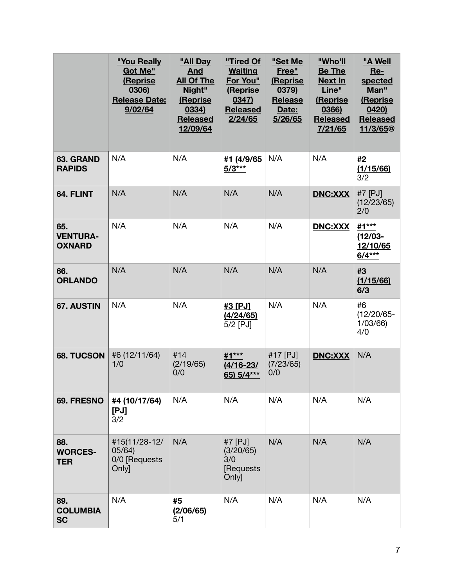|                                         | "You Really<br>Got Me"<br>(Reprise<br>0306)<br><b>Release Date:</b><br>9/02/64 | "All Day<br><b>And</b><br><b>All Of The</b><br>Night"<br>(Reprise<br>0334)<br><b>Released</b><br>12/09/64 | "Tired Of<br><b>Waiting</b><br>For You"<br>(Reprise<br>0347)<br><b>Released</b><br>2/24/65 | "Set Me<br>Free"<br>(Reprise<br>0379)<br><b>Release</b><br>Date:<br>5/26/65 | "Who'll<br><b>Be The</b><br>Next In<br>Line"<br>(Reprise<br>0366)<br><b>Released</b><br>7/21/65 | "A Well<br>Re-<br>spected<br>Man"<br>(Reprise<br>0420<br><b>Released</b><br>11/3/65 <sup>@</sup> |
|-----------------------------------------|--------------------------------------------------------------------------------|-----------------------------------------------------------------------------------------------------------|--------------------------------------------------------------------------------------------|-----------------------------------------------------------------------------|-------------------------------------------------------------------------------------------------|--------------------------------------------------------------------------------------------------|
| 63. GRAND<br><b>RAPIDS</b>              | N/A                                                                            | N/A                                                                                                       | #1 (4/9/65<br>$5/3***$                                                                     | N/A                                                                         | N/A                                                                                             | #2<br>(1/15/66)<br>3/2                                                                           |
| 64. FLINT                               | N/A                                                                            | N/A                                                                                                       | N/A                                                                                        | N/A                                                                         | <b>DNC:XXX</b>                                                                                  | #7 [PJ]<br>(12/23/65)<br>2/0                                                                     |
| 65.<br><b>VENTURA-</b><br><b>OXNARD</b> | N/A                                                                            | N/A                                                                                                       | N/A                                                                                        | N/A                                                                         | <b>DNC:XXX</b>                                                                                  | #1***<br>$(12/03 -$<br>12/10/65<br>$6/4***$                                                      |
| 66.<br><b>ORLANDO</b>                   | N/A                                                                            | N/A                                                                                                       | N/A                                                                                        | N/A                                                                         | N/A                                                                                             | #3<br>(1/15/66)<br>6/3                                                                           |
| 67. AUSTIN                              | N/A                                                                            | N/A                                                                                                       | #3 [PJ]<br>(4/24/65)<br>5/2 [PJ]                                                           | N/A                                                                         | N/A                                                                                             | #6<br>$(12/20/65 -$<br>1/03/66<br>4/0                                                            |
| <b>68. TUCSON</b>                       | #6 (12/11/64)<br>1/0                                                           | #14<br>(2/19/65)<br>0/0                                                                                   | #1***<br><u>(4/16-23/</u><br>65) 5/4***                                                    | #17 [PJ]<br>(7/23/65)<br>0/0                                                | <b>DNC:XXX</b>                                                                                  | N/A                                                                                              |
| 69. FRESNO                              | #4 (10/17/64)<br>[PJ]<br>3/2                                                   | N/A                                                                                                       | N/A                                                                                        | N/A                                                                         | N/A                                                                                             | N/A                                                                                              |
| 88.<br><b>WORCES-</b><br><b>TER</b>     | #15(11/28-12/<br>05/64)<br>0/0 [Requests<br>Only]                              | N/A                                                                                                       | #7 [PJ]<br>(3/20/65)<br>3/0<br>[Requests<br><b>Onlyl</b>                                   | N/A                                                                         | N/A                                                                                             | N/A                                                                                              |
| 89.<br><b>COLUMBIA</b><br><b>SC</b>     | N/A                                                                            | #5<br>(2/06/65)<br>5/1                                                                                    | N/A                                                                                        | N/A                                                                         | N/A                                                                                             | N/A                                                                                              |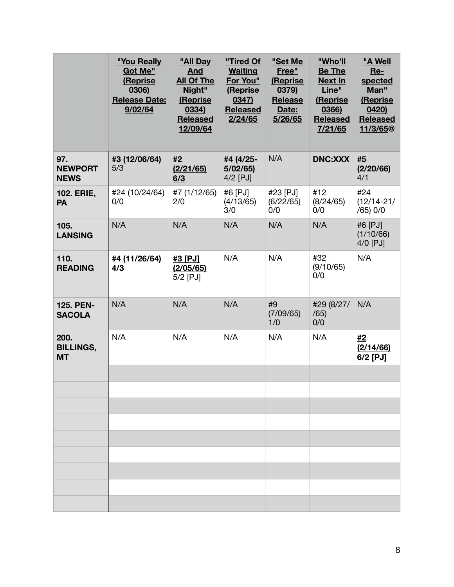|                                       | "You Really<br>Got Me"<br>(Reprise<br>0306)<br><b>Release Date:</b><br>9/02/64 | "All Day<br><b>And</b><br><b>All Of The</b><br>Night"<br>(Reprise<br>0334)<br><b>Released</b><br>12/09/64 | "Tired Of<br><b>Waiting</b><br>For You"<br>(Reprise<br>0347)<br><b>Released</b><br>2/24/65 | "Set Me<br>Free"<br>(Reprise<br>0379)<br><b>Release</b><br>Date:<br>5/26/65 | "Who'll<br><b>Be The</b><br><b>Next In</b><br>Line"<br>(Reprise<br>0366)<br><b>Released</b><br>7/21/65 | "A Well<br>$Re-$<br>spected<br>Man"<br>(Reprise<br>0420<br><b>Released</b><br>11/3/65 <sup>@</sup> |
|---------------------------------------|--------------------------------------------------------------------------------|-----------------------------------------------------------------------------------------------------------|--------------------------------------------------------------------------------------------|-----------------------------------------------------------------------------|--------------------------------------------------------------------------------------------------------|----------------------------------------------------------------------------------------------------|
| 97.<br><b>NEWPORT</b><br><b>NEWS</b>  | #3 (12/06/64)<br>5/3                                                           | #2<br>(2/21/65)<br>6/3                                                                                    | #4 (4/25-<br>5/02/65<br>4/2 [PJ]                                                           | N/A                                                                         | <b>DNC:XXX</b>                                                                                         | #5<br>(2/20/66)<br>4/1                                                                             |
| <b>102. ERIE,</b><br>PA               | #24 (10/24/64)<br>0/0                                                          | #7 (1/12/65)<br>2/0                                                                                       | #6 [PJ]<br>(4/13/65)<br>3/0                                                                | #23 [PJ]<br>(6/22/65)<br>0/0                                                | #12<br>(8/24/65)<br>0/0                                                                                | #24<br>$(12/14 - 21/$<br>/65) 0/0                                                                  |
| 105.<br><b>LANSING</b>                | N/A                                                                            | N/A                                                                                                       | N/A                                                                                        | N/A                                                                         | N/A                                                                                                    | #6 [PJ]<br>(1/10/66)<br>4/0 [PJ]                                                                   |
| 110.<br><b>READING</b>                | #4 (11/26/64)<br>4/3                                                           | #3 [PJ]<br>(2/05/65)<br>$5/2$ [PJ]                                                                        | N/A                                                                                        | N/A                                                                         | #32<br>(9/10/65)<br>0/0                                                                                | N/A                                                                                                |
| 125. PEN-<br><b>SACOLA</b>            | N/A                                                                            | N/A                                                                                                       | N/A                                                                                        | #9<br>(7/09/65)<br>1/0                                                      | #29 (8/27/<br>/65)<br>0/0                                                                              | N/A                                                                                                |
| 200.<br><b>BILLINGS,</b><br><b>MT</b> | N/A                                                                            | N/A                                                                                                       | N/A                                                                                        | N/A                                                                         | N/A                                                                                                    | #2<br>(2/14/66)<br>$6/2$ [PJ]                                                                      |
|                                       |                                                                                |                                                                                                           |                                                                                            |                                                                             |                                                                                                        |                                                                                                    |
|                                       |                                                                                |                                                                                                           |                                                                                            |                                                                             |                                                                                                        |                                                                                                    |
|                                       |                                                                                |                                                                                                           |                                                                                            |                                                                             |                                                                                                        |                                                                                                    |
|                                       |                                                                                |                                                                                                           |                                                                                            |                                                                             |                                                                                                        |                                                                                                    |
|                                       |                                                                                |                                                                                                           |                                                                                            |                                                                             |                                                                                                        |                                                                                                    |
|                                       |                                                                                |                                                                                                           |                                                                                            |                                                                             |                                                                                                        |                                                                                                    |
|                                       |                                                                                |                                                                                                           |                                                                                            |                                                                             |                                                                                                        |                                                                                                    |
|                                       |                                                                                |                                                                                                           |                                                                                            |                                                                             |                                                                                                        |                                                                                                    |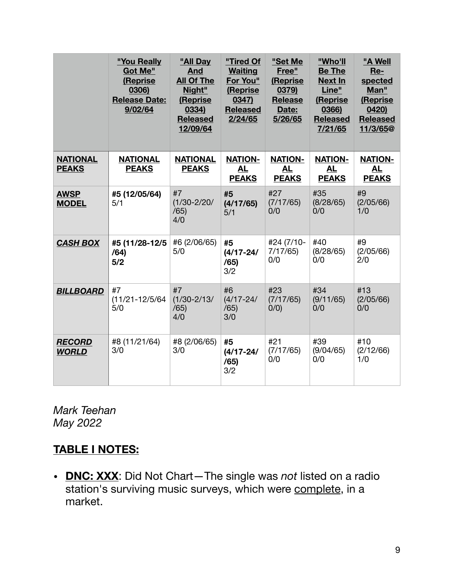|                                 | "You Really<br>Got Me"<br>(Reprise<br>0306)<br><b>Release Date:</b><br>9/02/64 | "All Day<br><b>And</b><br><b>All Of The</b><br>Night"<br>(Reprise<br>0334)<br><b>Released</b><br>12/09/64 | "Tired Of<br><b>Waiting</b><br>For You"<br>(Reprise<br>0347)<br><b>Released</b><br>2/24/65 | "Set Me<br>Free"<br>(Reprise<br>0379)<br><b>Release</b><br>Date:<br>5/26/65 | "Who'll<br><b>Be The</b><br><b>Next In</b><br>Line"<br>(Reprise<br>0366)<br><b>Released</b><br>7/21/65 | "A Well<br>Re-<br>spected<br>Man"<br>(Reprise<br>0420<br><b>Released</b><br>11/3/65@ |
|---------------------------------|--------------------------------------------------------------------------------|-----------------------------------------------------------------------------------------------------------|--------------------------------------------------------------------------------------------|-----------------------------------------------------------------------------|--------------------------------------------------------------------------------------------------------|--------------------------------------------------------------------------------------|
| <b>NATIONAL</b><br><b>PEAKS</b> | <b>NATIONAL</b><br><b>PEAKS</b>                                                | <b>NATIONAL</b><br><b>PEAKS</b>                                                                           | <b>NATION-</b><br><b>AL</b><br><b>PEAKS</b>                                                | <b>NATION-</b><br><b>AL</b><br><b>PEAKS</b>                                 | <b>NATION-</b><br><b>AL</b><br><b>PEAKS</b>                                                            | <b>NATION-</b><br><b>AL</b><br><b>PEAKS</b>                                          |
| <b>AWSP</b><br><b>MODEL</b>     | #5 (12/05/64)<br>5/1                                                           | #7<br>$(1/30 - 2/20)$<br>/65)<br>4/0                                                                      | #5<br>(4/17/65)<br>5/1                                                                     | #27<br>(7/17/65)<br>0/0                                                     | #35<br>(8/28/65)<br>0/0                                                                                | #9<br>(2/05/66)<br>1/0                                                               |
| <b>CASH BOX</b>                 | #5 (11/28-12/5<br>/64)<br>5/2                                                  | #6 (2/06/65)<br>5/0                                                                                       | #5<br>$(4/17 - 24/$<br>/65)<br>3/2                                                         | #24 (7/10-<br>7/17/65<br>0/0                                                | #40<br>(8/28/65)<br>0/0                                                                                | #9<br>(2/05/66)<br>2/0                                                               |
| <b>BILLBOARD</b>                | #7<br>$(11/21 - 12/5/64)$<br>5/0                                               | #7<br>$(1/30 - 2/13)$<br>/65)<br>4/0                                                                      | #6<br>$(4/17 - 24/$<br>/65)<br>3/0                                                         | #23<br>(7/17/65)<br>0/0                                                     | #34<br>(9/11/65)<br>0/0                                                                                | #13<br>(2/05/66)<br>0/0                                                              |
| <b>RECORD</b><br><b>WORLD</b>   | #8 (11/21/64)<br>3/0                                                           | #8 (2/06/65)<br>3/0                                                                                       | #5<br>$(4/17 - 24/$<br>/65)<br>3/2                                                         | #21<br>(7/17/65)<br>0/0                                                     | #39<br>(9/04/65)<br>0/0                                                                                | #10<br>(2/12/66)<br>1/0                                                              |

*Mark Teehan May 2022*

# **TABLE I NOTES:**

**• DNC: XXX**: Did Not Chart—The single was *not* listed on a radio station's surviving music surveys, which were complete, in a market.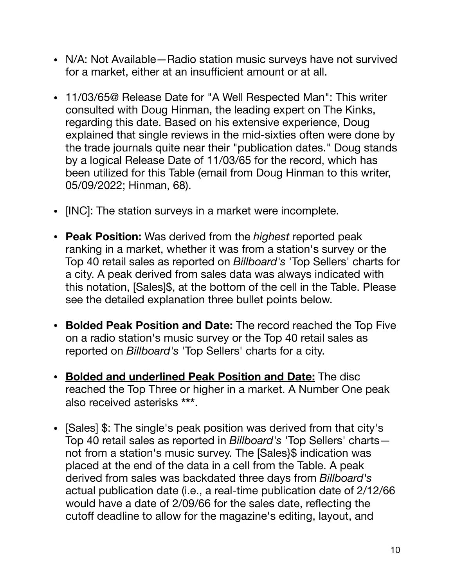- **•** N/A: Not Available—Radio station music surveys have not survived for a market, either at an insufficient amount or at all.
- **•** 11/03/65@ Release Date for "A Well Respected Man": This writer consulted with Doug Hinman, the leading expert on The Kinks, regarding this date. Based on his extensive experience, Doug explained that single reviews in the mid-sixties often were done by the trade journals quite near their "publication dates." Doug stands by a logical Release Date of 11/03/65 for the record, which has been utilized for this Table (email from Doug Hinman to this writer, 05/09/2022; Hinman, 68).
- **•** [INC]: The station surveys in a market were incomplete.
- **• Peak Position:** Was derived from the *highest* reported peak ranking in a market, whether it was from a station's survey or the Top 40 retail sales as reported on *Billboard's* 'Top Sellers' charts for a city. A peak derived from sales data was always indicated with this notation, [Sales]\$, at the bottom of the cell in the Table. Please see the detailed explanation three bullet points below.
- **• Bolded Peak Position and Date:** The record reached the Top Five on a radio station's music survey or the Top 40 retail sales as reported on *Billboard's* 'Top Sellers' charts for a city.
- **• Bolded and underlined Peak Position and Date:** The disc reached the Top Three or higher in a market. A Number One peak also received asterisks **\*\*\***.
- **•** [Sales] \$: The single's peak position was derived from that city's Top 40 retail sales as reported in *Billboard's* 'Top Sellers' charts not from a station's music survey. The [Sales]\$ indication was placed at the end of the data in a cell from the Table. A peak derived from sales was backdated three days from *Billboard's*  actual publication date (i.e., a real-time publication date of 2/12/66 would have a date of 2/09/66 for the sales date, reflecting the cutoff deadline to allow for the magazine's editing, layout, and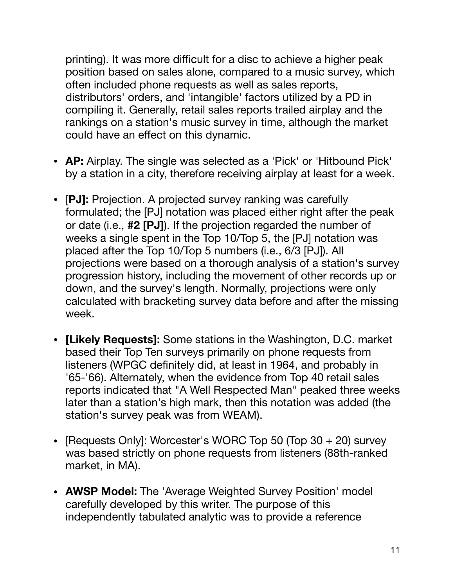printing). It was more difficult for a disc to achieve a higher peak position based on sales alone, compared to a music survey, which often included phone requests as well as sales reports, distributors' orders, and 'intangible' factors utilized by a PD in compiling it. Generally, retail sales reports trailed airplay and the rankings on a station's music survey in time, although the market could have an effect on this dynamic.

- **• AP:** Airplay. The single was selected as a 'Pick' or 'Hitbound Pick' by a station in a city, therefore receiving airplay at least for a week.
- **•** [**PJ]:** Projection. A projected survey ranking was carefully formulated; the [PJ] notation was placed either right after the peak or date (i.e., **#2 [PJ]**). If the projection regarded the number of weeks a single spent in the Top 10/Top 5, the [PJ] notation was placed after the Top 10/Top 5 numbers (i.e., 6/3 [PJ]). All projections were based on a thorough analysis of a station's survey progression history, including the movement of other records up or down, and the survey's length. Normally, projections were only calculated with bracketing survey data before and after the missing week.
- **• [Likely Requests]:** Some stations in the Washington, D.C. market based their Top Ten surveys primarily on phone requests from listeners (WPGC definitely did, at least in 1964, and probably in '65-'66). Alternately, when the evidence from Top 40 retail sales reports indicated that "A Well Respected Man" peaked three weeks later than a station's high mark, then this notation was added (the station's survey peak was from WEAM).
- **•** [Requests Only]: Worcester's WORC Top 50 (Top 30 + 20) survey was based strictly on phone requests from listeners (88th-ranked market, in MA).
- **• AWSP Model:** The 'Average Weighted Survey Position' model carefully developed by this writer. The purpose of this independently tabulated analytic was to provide a reference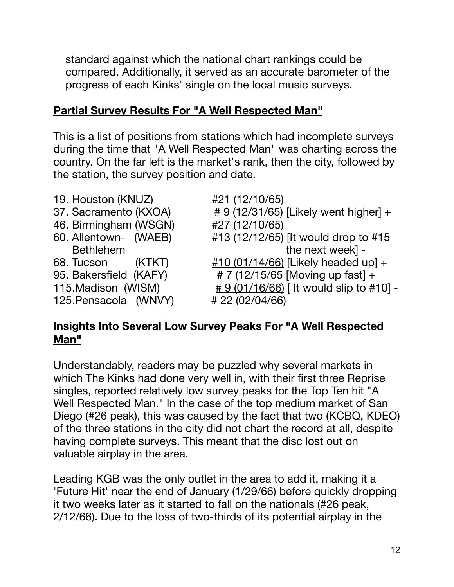standard against which the national chart rankings could be compared. Additionally, it served as an accurate barometer of the progress of each Kinks' single on the local music surveys.

# **Partial Survey Results For "A Well Respected Man"**

This is a list of positions from stations which had incomplete surveys during the time that "A Well Respected Man" was charting across the country. On the far left is the market's rank, then the city, followed by the station, the survey position and date.

- 19. Houston (KNUZ) #21 (12/10/65)
- 
- 46. Birmingham (WSGN) #27 (12/10/65)
- 
- 
- 
- 

125.Pensacola (WNVY) # 22 (02/04/66)

- 
- 37. Sacramento (KXOA)  $\qquad \qquad \frac{\# 9 (12/31/65)}{12/31/65}$  [Likely went higher] +
- 60. Allentown- (WAEB) #13 (12/12/65) [It would drop to #15 Bethlehem the next week] -
- 68. Tucson (KTKT) #10 (01/14/66) [Likely headed up] +
- 95. Bakersfield (KAFY)  $\qquad \qquad \frac{\# 7 (12/15/65)}{4}$  [Moving up fast] +
- 115.Madison (WISM)  $\qquad \qquad \frac{\# 9 (01/16/66)}{1!}$  [It would slip to #10] -

### **Insights Into Several Low Survey Peaks For "A Well Respected Man"**

Understandably, readers may be puzzled why several markets in which The Kinks had done very well in, with their first three Reprise singles, reported relatively low survey peaks for the Top Ten hit "A Well Respected Man." In the case of the top medium market of San Diego (#26 peak), this was caused by the fact that two (KCBQ, KDEO) of the three stations in the city did not chart the record at all, despite having complete surveys. This meant that the disc lost out on valuable airplay in the area.

Leading KGB was the only outlet in the area to add it, making it a 'Future Hit' near the end of January (1/29/66) before quickly dropping it two weeks later as it started to fall on the nationals (#26 peak, 2/12/66). Due to the loss of two-thirds of its potential airplay in the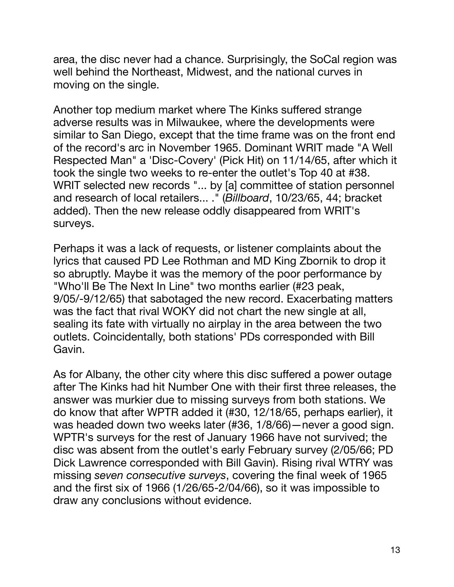area, the disc never had a chance. Surprisingly, the SoCal region was well behind the Northeast, Midwest, and the national curves in moving on the single.

Another top medium market where The Kinks suffered strange adverse results was in Milwaukee, where the developments were similar to San Diego, except that the time frame was on the front end of the record's arc in November 1965. Dominant WRIT made "A Well Respected Man" a 'Disc-Covery' (Pick Hit) on 11/14/65, after which it took the single two weeks to re-enter the outlet's Top 40 at #38. WRIT selected new records "... by [a] committee of station personnel and research of local retailers... ." (*Billboard*, 10/23/65, 44; bracket added). Then the new release oddly disappeared from WRIT's surveys.

Perhaps it was a lack of requests, or listener complaints about the lyrics that caused PD Lee Rothman and MD King Zbornik to drop it so abruptly. Maybe it was the memory of the poor performance by "Who'll Be The Next In Line" two months earlier (#23 peak, 9/05/-9/12/65) that sabotaged the new record. Exacerbating matters was the fact that rival WOKY did not chart the new single at all, sealing its fate with virtually no airplay in the area between the two outlets. Coincidentally, both stations' PDs corresponded with Bill Gavin.

As for Albany, the other city where this disc suffered a power outage after The Kinks had hit Number One with their first three releases, the answer was murkier due to missing surveys from both stations. We do know that after WPTR added it (#30, 12/18/65, perhaps earlier), it was headed down two weeks later (#36, 1/8/66)—never a good sign. WPTR's surveys for the rest of January 1966 have not survived; the disc was absent from the outlet's early February survey (2/05/66; PD Dick Lawrence corresponded with Bill Gavin). Rising rival WTRY was missing *seven consecutive surveys*, covering the final week of 1965 and the first six of 1966 (1/26/65-2/04/66), so it was impossible to draw any conclusions without evidence.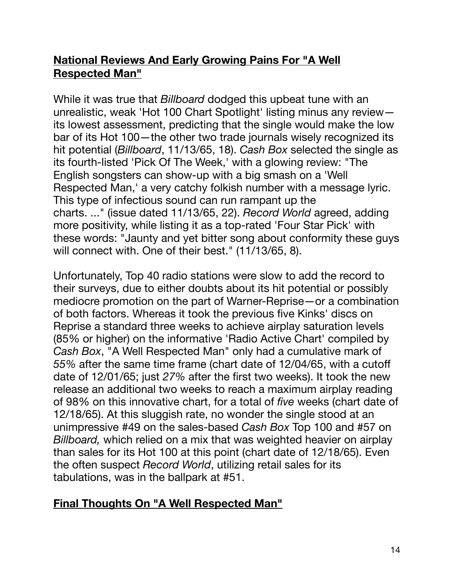### **National Reviews And Early Growing Pains For "A Well Respected Man"**

While it was true that *Billboard* dodged this upbeat tune with an unrealistic, weak 'Hot 100 Chart Spotlight' listing minus any review its lowest assessment, predicting that the single would make the low bar of its Hot 100—the other two trade journals wisely recognized its hit potential (*Billboard*, 11/13/65, 18). *Cash Box* selected the single as its fourth-listed 'Pick Of The Week,' with a glowing review: "The English songsters can show-up with a big smash on a 'Well Respected Man,' a very catchy folkish number with a message lyric. This type of infectious sound can run rampant up the charts. ..." (issue dated 11/13/65, 22). *Record World* agreed, adding more positivity, while listing it as a top-rated 'Four Star Pick' with these words: "Jaunty and yet bitter song about conformity these guys will connect with. One of their best." (11/13/65, 8).

Unfortunately, Top 40 radio stations were slow to add the record to their surveys, due to either doubts about its hit potential or possibly mediocre promotion on the part of Warner-Reprise—or a combination of both factors. Whereas it took the previous five Kinks' discs on Reprise a standard three weeks to achieve airplay saturation levels (85% or higher) on the informative 'Radio Active Chart' compiled by *Cash Box*, "A Well Respected Man" only had a cumulative mark of *55%* after the same time frame (chart date of 12/04/65, with a cutoff date of 12/01/65; just *27%* after the first two weeks). It took the new release an additional two weeks to reach a maximum airplay reading of 98% on this innovative chart, for a total of *five* weeks (chart date of 12/18/65). At this sluggish rate, no wonder the single stood at an unimpressive #49 on the sales-based *Cash Box* Top 100 and #57 on *Billboard,* which relied on a mix that was weighted heavier on airplay than sales for its Hot 100 at this point (chart date of 12/18/65). Even the often suspect *Record World*, utilizing retail sales for its tabulations, was in the ballpark at #51.

# **Final Thoughts On "A Well Respected Man"**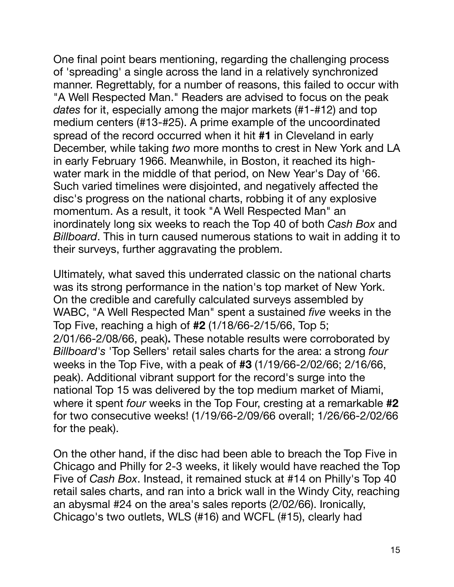One final point bears mentioning, regarding the challenging process of 'spreading' a single across the land in a relatively synchronized manner. Regrettably, for a number of reasons, this failed to occur with "A Well Respected Man." Readers are advised to focus on the peak *dates* for it, especially among the major markets (#1-#12) and top medium centers (#13-#25). A prime example of the uncoordinated spread of the record occurred when it hit **#1** in Cleveland in early December, while taking *two* more months to crest in New York and LA in early February 1966. Meanwhile, in Boston, it reached its highwater mark in the middle of that period, on New Year's Day of '66. Such varied timelines were disjointed, and negatively affected the disc's progress on the national charts, robbing it of any explosive momentum. As a result, it took "A Well Respected Man" an inordinately long six weeks to reach the Top 40 of both *Cash Box* and *Billboard*. This in turn caused numerous stations to wait in adding it to their surveys, further aggravating the problem.

Ultimately, what saved this underrated classic on the national charts was its strong performance in the nation's top market of New York. On the credible and carefully calculated surveys assembled by WABC, "A Well Respected Man" spent a sustained *five* weeks in the Top Five, reaching a high of **#2** (1/18/66-2/15/66, Top 5; 2/01/66-2/08/66, peak)**.** These notable results were corroborated by *Billboard's* 'Top Sellers' retail sales charts for the area: a strong *four*  weeks in the Top Five, with a peak of **#3** (1/19/66-2/02/66; 2/16/66, peak). Additional vibrant support for the record's surge into the national Top 15 was delivered by the top medium market of Miami, where it spent *four* weeks in the Top Four, cresting at a remarkable **#2** for two consecutive weeks! (1/19/66-2/09/66 overall; 1/26/66-2/02/66 for the peak).

On the other hand, if the disc had been able to breach the Top Five in Chicago and Philly for 2-3 weeks, it likely would have reached the Top Five of *Cash Box*. Instead, it remained stuck at #14 on Philly's Top 40 retail sales charts, and ran into a brick wall in the Windy City, reaching an abysmal #24 on the area's sales reports (2/02/66). Ironically, Chicago's two outlets, WLS (#16) and WCFL (#15), clearly had